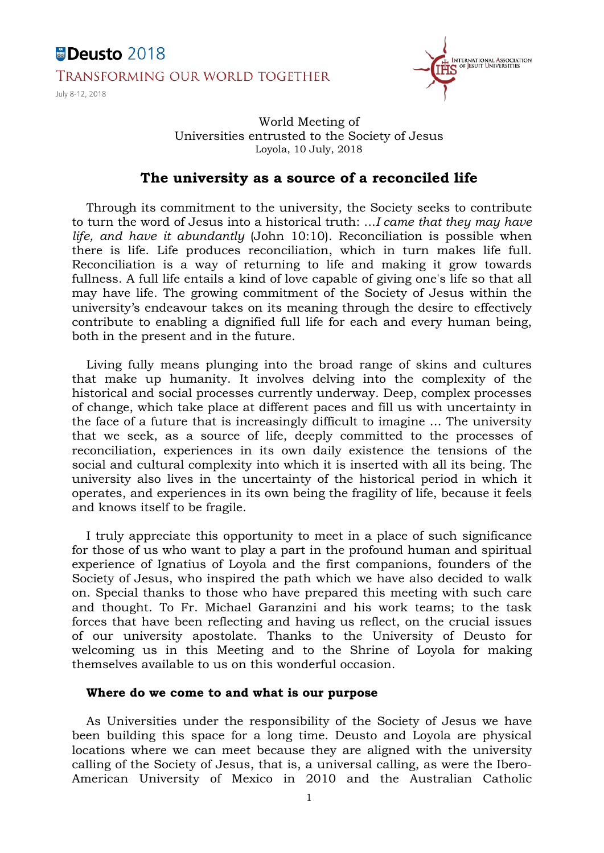# Deusto 2018 **TRANSFORMING OUR WORLD TOGETHER**

July 8-12, 2018



# World Meeting of Universities entrusted to the Society of Jesus Loyola, 10 July, 2018

# **The university as a source of a reconciled life**

Through its commitment to the university, the Society seeks to contribute to turn the word of Jesus into a historical truth: ...*I came that they may have life, and have it abundantly* (John 10:10). Reconciliation is possible when there is life. Life produces reconciliation, which in turn makes life full. Reconciliation is a way of returning to life and making it grow towards fullness. A full life entails a kind of love capable of giving one's life so that all may have life. The growing commitment of the Society of Jesus within the university's endeavour takes on its meaning through the desire to effectively contribute to enabling a dignified full life for each and every human being, both in the present and in the future.

Living fully means plunging into the broad range of skins and cultures that make up humanity. It involves delving into the complexity of the historical and social processes currently underway. Deep, complex processes of change, which take place at different paces and fill us with uncertainty in the face of a future that is increasingly difficult to imagine ... The university that we seek, as a source of life, deeply committed to the processes of reconciliation, experiences in its own daily existence the tensions of the social and cultural complexity into which it is inserted with all its being. The university also lives in the uncertainty of the historical period in which it operates, and experiences in its own being the fragility of life, because it feels and knows itself to be fragile.

I truly appreciate this opportunity to meet in a place of such significance for those of us who want to play a part in the profound human and spiritual experience of Ignatius of Loyola and the first companions, founders of the Society of Jesus, who inspired the path which we have also decided to walk on. Special thanks to those who have prepared this meeting with such care and thought. To Fr. Michael Garanzini and his work teams; to the task forces that have been reflecting and having us reflect, on the crucial issues of our university apostolate. Thanks to the University of Deusto for welcoming us in this Meeting and to the Shrine of Loyola for making themselves available to us on this wonderful occasion.

## **Where do we come to and what is our purpose**

As Universities under the responsibility of the Society of Jesus we have been building this space for a long time. Deusto and Loyola are physical locations where we can meet because they are aligned with the university calling of the Society of Jesus, that is, a universal calling, as were the Ibero-American University of Mexico in 2010 and the Australian Catholic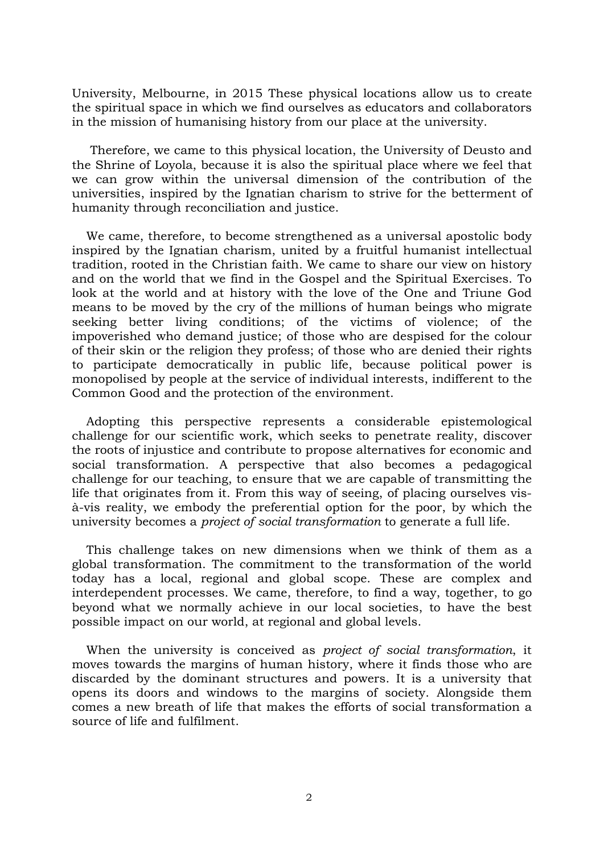University, Melbourne, in 2015 These physical locations allow us to create the spiritual space in which we find ourselves as educators and collaborators in the mission of humanising history from our place at the university.

Therefore, we came to this physical location, the University of Deusto and the Shrine of Loyola, because it is also the spiritual place where we feel that we can grow within the universal dimension of the contribution of the universities, inspired by the Ignatian charism to strive for the betterment of humanity through reconciliation and justice.

We came, therefore, to become strengthened as a universal apostolic body inspired by the Ignatian charism, united by a fruitful humanist intellectual tradition, rooted in the Christian faith. We came to share our view on history and on the world that we find in the Gospel and the Spiritual Exercises. To look at the world and at history with the love of the One and Triune God means to be moved by the cry of the millions of human beings who migrate seeking better living conditions; of the victims of violence; of the impoverished who demand justice; of those who are despised for the colour of their skin or the religion they profess; of those who are denied their rights to participate democratically in public life, because political power is monopolised by people at the service of individual interests, indifferent to the Common Good and the protection of the environment.

Adopting this perspective represents a considerable epistemological challenge for our scientific work, which seeks to penetrate reality, discover the roots of injustice and contribute to propose alternatives for economic and social transformation. A perspective that also becomes a pedagogical challenge for our teaching, to ensure that we are capable of transmitting the life that originates from it. From this way of seeing, of placing ourselves visà-vis reality, we embody the preferential option for the poor, by which the university becomes a *project of social transformation* to generate a full life.

This challenge takes on new dimensions when we think of them as a global transformation. The commitment to the transformation of the world today has a local, regional and global scope. These are complex and interdependent processes. We came, therefore, to find a way, together, to go beyond what we normally achieve in our local societies, to have the best possible impact on our world, at regional and global levels.

When the university is conceived as *project of social transformation*, it moves towards the margins of human history, where it finds those who are discarded by the dominant structures and powers. It is a university that opens its doors and windows to the margins of society. Alongside them comes a new breath of life that makes the efforts of social transformation a source of life and fulfilment.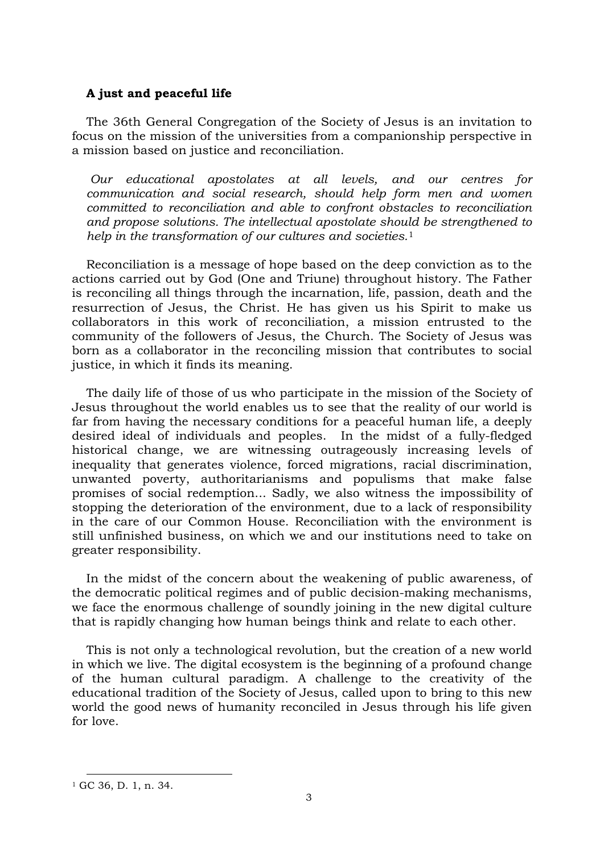## **A just and peaceful life**

The 36th General Congregation of the Society of Jesus is an invitation to focus on the mission of the universities from a companionship perspective in a mission based on justice and reconciliation.

*Our educational apostolates at all levels, and our centres for communication and social research, should help form men and women committed to reconciliation and able to confront obstacles to reconciliation and propose solutions. The intellectual apostolate should be strengthened to help in the transformation of our cultures and societies.*[1](#page-2-0)

Reconciliation is a message of hope based on the deep conviction as to the actions carried out by God (One and Triune) throughout history. The Father is reconciling all things through the incarnation, life, passion, death and the resurrection of Jesus, the Christ. He has given us his Spirit to make us collaborators in this work of reconciliation, a mission entrusted to the community of the followers of Jesus, the Church. The Society of Jesus was born as a collaborator in the reconciling mission that contributes to social justice, in which it finds its meaning.

The daily life of those of us who participate in the mission of the Society of Jesus throughout the world enables us to see that the reality of our world is far from having the necessary conditions for a peaceful human life, a deeply desired ideal of individuals and peoples. In the midst of a fully-fledged historical change, we are witnessing outrageously increasing levels of inequality that generates violence, forced migrations, racial discrimination, unwanted poverty, authoritarianisms and populisms that make false promises of social redemption... Sadly, we also witness the impossibility of stopping the deterioration of the environment, due to a lack of responsibility in the care of our Common House. Reconciliation with the environment is still unfinished business, on which we and our institutions need to take on greater responsibility.

In the midst of the concern about the weakening of public awareness, of the democratic political regimes and of public decision-making mechanisms, we face the enormous challenge of soundly joining in the new digital culture that is rapidly changing how human beings think and relate to each other.

This is not only a technological revolution, but the creation of a new world in which we live. The digital ecosystem is the beginning of a profound change of the human cultural paradigm. A challenge to the creativity of the educational tradition of the Society of Jesus, called upon to bring to this new world the good news of humanity reconciled in Jesus through his life given for love.

<span id="page-2-0"></span><sup>1</sup> GC 36, D. 1, n. 34.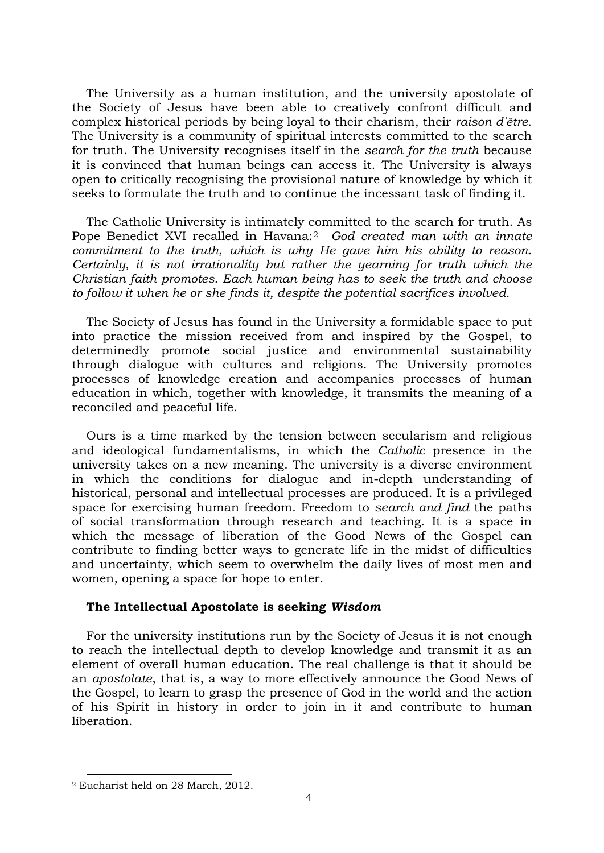The University as a human institution, and the university apostolate of the Society of Jesus have been able to creatively confront difficult and complex historical periods by being loyal to their charism, their *raison d'être*. The University is a community of spiritual interests committed to the search for truth. The University recognises itself in the *search for the truth* because it is convinced that human beings can access it. The University is always open to critically recognising the provisional nature of knowledge by which it seeks to formulate the truth and to continue the incessant task of finding it.

The Catholic University is intimately committed to the search for truth. As Pope Benedict XVI recalled in Havana:[2](#page-3-0) *God created man with an innate commitment to the truth, which is why He gave him his ability to reason. Certainly, it is not irrationality but rather the yearning for truth which the Christian faith promotes. Each human being has to seek the truth and choose to follow it when he or she finds it, despite the potential sacrifices involved.*

The Society of Jesus has found in the University a formidable space to put into practice the mission received from and inspired by the Gospel, to determinedly promote social justice and environmental sustainability through dialogue with cultures and religions. The University promotes processes of knowledge creation and accompanies processes of human education in which, together with knowledge, it transmits the meaning of a reconciled and peaceful life.

Ours is a time marked by the tension between secularism and religious and ideological fundamentalisms, in which the *Catholic* presence in the university takes on a new meaning. The university is a diverse environment in which the conditions for dialogue and in-depth understanding of historical, personal and intellectual processes are produced. It is a privileged space for exercising human freedom. Freedom to *search and find* the paths of social transformation through research and teaching. It is a space in which the message of liberation of the Good News of the Gospel can contribute to finding better ways to generate life in the midst of difficulties and uncertainty, which seem to overwhelm the daily lives of most men and women, opening a space for hope to enter.

## **The Intellectual Apostolate is seeking** *Wisdom*

For the university institutions run by the Society of Jesus it is not enough to reach the intellectual depth to develop knowledge and transmit it as an element of overall human education. The real challenge is that it should be an *apostolate*, that is, a way to more effectively announce the Good News of the Gospel, to learn to grasp the presence of God in the world and the action of his Spirit in history in order to join in it and contribute to human liberation.

<span id="page-3-0"></span><sup>2</sup> Eucharist held on 28 March, 2012.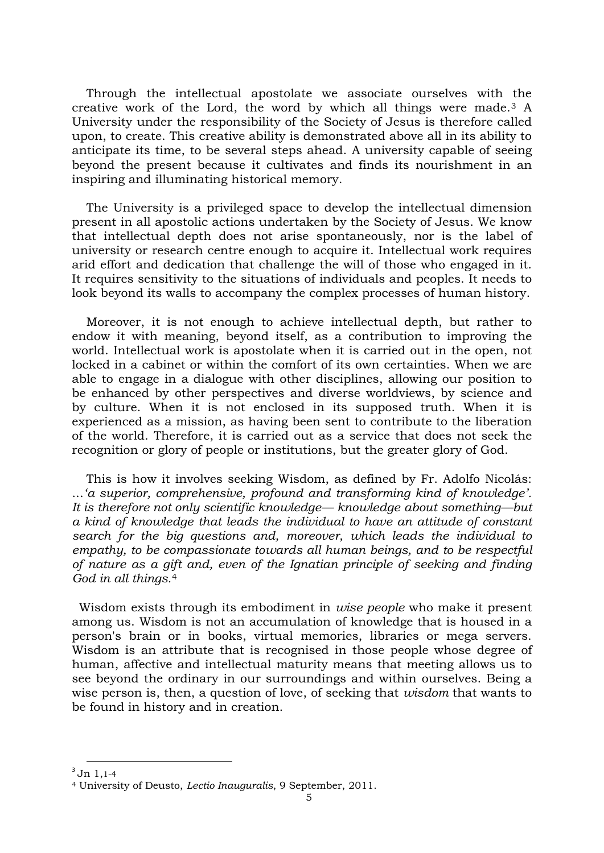Through the intellectual apostolate we associate ourselves with the creative work of the Lord, the word by which all things were made.[3](#page-4-0) A University under the responsibility of the Society of Jesus is therefore called upon, to create. This creative ability is demonstrated above all in its ability to anticipate its time, to be several steps ahead. A university capable of seeing beyond the present because it cultivates and finds its nourishment in an inspiring and illuminating historical memory.

The University is a privileged space to develop the intellectual dimension present in all apostolic actions undertaken by the Society of Jesus. We know that intellectual depth does not arise spontaneously, nor is the label of university or research centre enough to acquire it. Intellectual work requires arid effort and dedication that challenge the will of those who engaged in it. It requires sensitivity to the situations of individuals and peoples. It needs to look beyond its walls to accompany the complex processes of human history.

Moreover, it is not enough to achieve intellectual depth, but rather to endow it with meaning, beyond itself, as a contribution to improving the world. Intellectual work is apostolate when it is carried out in the open, not locked in a cabinet or within the comfort of its own certainties. When we are able to engage in a dialogue with other disciplines, allowing our position to be enhanced by other perspectives and diverse worldviews, by science and by culture. When it is not enclosed in its supposed truth. When it is experienced as a mission, as having been sent to contribute to the liberation of the world. Therefore, it is carried out as a service that does not seek the recognition or glory of people or institutions, but the greater glory of God.

This is how it involves seeking Wisdom, as defined by Fr. Adolfo Nicolás: ...*'a superior, comprehensive, profound and transforming kind of knowledge'. It is therefore not only scientific knowledge— knowledge about something—but a kind of knowledge that leads the individual to have an attitude of constant search for the big questions and, moreover, which leads the individual to empathy, to be compassionate towards all human beings, and to be respectful of nature as a gift and, even of the Ignatian principle of seeking and finding God in all things.*[4](#page-4-1)

Wisdom exists through its embodiment in *wise people* who make it present among us. Wisdom is not an accumulation of knowledge that is housed in a person's brain or in books, virtual memories, libraries or mega servers. Wisdom is an attribute that is recognised in those people whose degree of human, affective and intellectual maturity means that meeting allows us to see beyond the ordinary in our surroundings and within ourselves. Being a wise person is, then, a question of love, of seeking that *wisdom* that wants to be found in history and in creation.

 $3$  Jn 1,1-4  $\overline{a}$ 

<span id="page-4-1"></span><span id="page-4-0"></span><sup>4</sup> University of Deusto, *Lectio Inauguralis*, 9 September, 2011.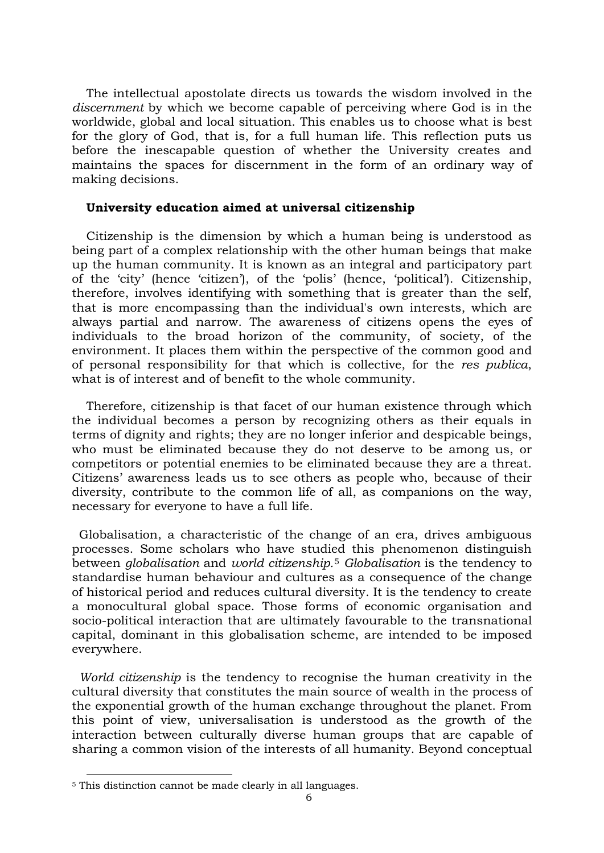The intellectual apostolate directs us towards the wisdom involved in the *discernment* by which we become capable of perceiving where God is in the worldwide, global and local situation. This enables us to choose what is best for the glory of God, that is, for a full human life. This reflection puts us before the inescapable question of whether the University creates and maintains the spaces for discernment in the form of an ordinary way of making decisions.

#### **University education aimed at universal citizenship**

Citizenship is the dimension by which a human being is understood as being part of a complex relationship with the other human beings that make up the human community. It is known as an integral and participatory part of the 'city' (hence 'citizen'), of the 'polis' (hence, 'political'). Citizenship, therefore, involves identifying with something that is greater than the self, that is more encompassing than the individual's own interests, which are always partial and narrow. The awareness of citizens opens the eyes of individuals to the broad horizon of the community, of society, of the environment. It places them within the perspective of the common good and of personal responsibility for that which is collective, for the *res publica*, what is of interest and of benefit to the whole community.

Therefore, citizenship is that facet of our human existence through which the individual becomes a person by recognizing others as their equals in terms of dignity and rights; they are no longer inferior and despicable beings, who must be eliminated because they do not deserve to be among us, or competitors or potential enemies to be eliminated because they are a threat. Citizens' awareness leads us to see others as people who, because of their diversity, contribute to the common life of all, as companions on the way, necessary for everyone to have a full life.

Globalisation, a characteristic of the change of an era, drives ambiguous processes. Some scholars who have studied this phenomenon distinguish between *globalisation* and *world citizenship.*[5](#page-5-0) *Globalisation* is the tendency to standardise human behaviour and cultures as a consequence of the change of historical period and reduces cultural diversity. It is the tendency to create a monocultural global space. Those forms of economic organisation and socio-political interaction that are ultimately favourable to the transnational capital, dominant in this globalisation scheme, are intended to be imposed everywhere.

*World citizenship* is the tendency to recognise the human creativity in the cultural diversity that constitutes the main source of wealth in the process of the exponential growth of the human exchange throughout the planet. From this point of view, universalisation is understood as the growth of the interaction between culturally diverse human groups that are capable of sharing a common vision of the interests of all humanity. Beyond conceptual

<span id="page-5-0"></span><sup>5</sup> This distinction cannot be made clearly in all languages.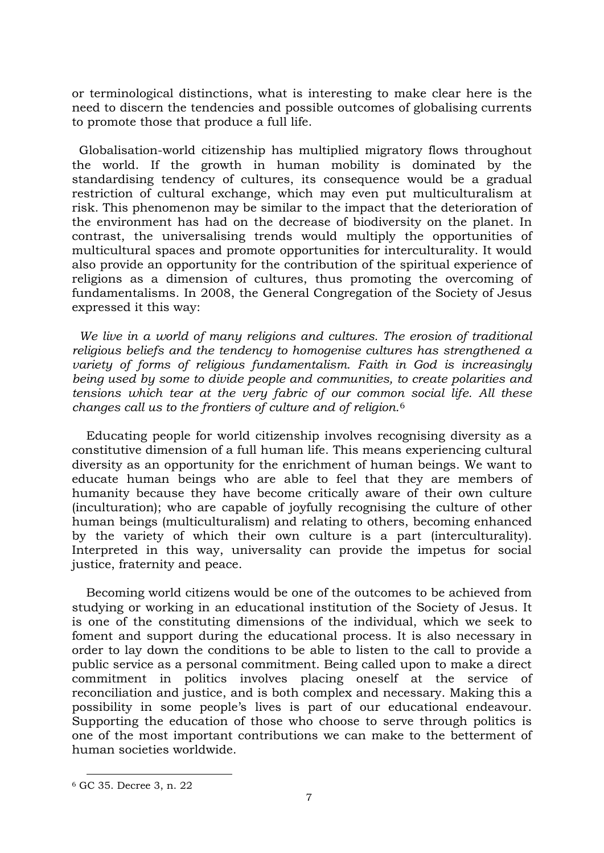or terminological distinctions, what is interesting to make clear here is the need to discern the tendencies and possible outcomes of globalising currents to promote those that produce a full life.

Globalisation-world citizenship has multiplied migratory flows throughout the world. If the growth in human mobility is dominated by the standardising tendency of cultures, its consequence would be a gradual restriction of cultural exchange, which may even put multiculturalism at risk. This phenomenon may be similar to the impact that the deterioration of the environment has had on the decrease of biodiversity on the planet. In contrast, the universalising trends would multiply the opportunities of multicultural spaces and promote opportunities for interculturality. It would also provide an opportunity for the contribution of the spiritual experience of religions as a dimension of cultures, thus promoting the overcoming of fundamentalisms. In 2008, the General Congregation of the Society of Jesus expressed it this way:

*We live in a world of many religions and cultures. The erosion of traditional religious beliefs and the tendency to homogenise cultures has strengthened a variety of forms of religious fundamentalism. Faith in God is increasingly being used by some to divide people and communities, to create polarities and tensions which tear at the very fabric of our common social life. All these changes call us to the frontiers of culture and of religion.*[6](#page-6-0)

Educating people for world citizenship involves recognising diversity as a constitutive dimension of a full human life. This means experiencing cultural diversity as an opportunity for the enrichment of human beings. We want to educate human beings who are able to feel that they are members of humanity because they have become critically aware of their own culture (inculturation); who are capable of joyfully recognising the culture of other human beings (multiculturalism) and relating to others, becoming enhanced by the variety of which their own culture is a part (interculturality). Interpreted in this way, universality can provide the impetus for social justice, fraternity and peace.

Becoming world citizens would be one of the outcomes to be achieved from studying or working in an educational institution of the Society of Jesus. It is one of the constituting dimensions of the individual, which we seek to foment and support during the educational process. It is also necessary in order to lay down the conditions to be able to listen to the call to provide a public service as a personal commitment. Being called upon to make a direct commitment in politics involves placing oneself at the service of reconciliation and justice, and is both complex and necessary. Making this a possibility in some people's lives is part of our educational endeavour. Supporting the education of those who choose to serve through politics is one of the most important contributions we can make to the betterment of human societies worldwide.

<span id="page-6-0"></span><sup>6</sup> GC 35. Decree 3, n. 22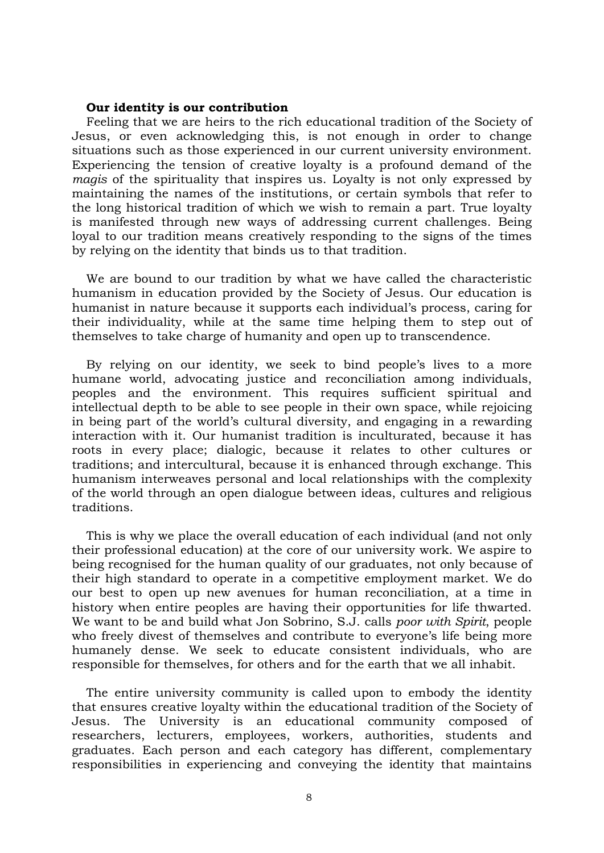#### **Our identity is our contribution**

Feeling that we are heirs to the rich educational tradition of the Society of Jesus, or even acknowledging this, is not enough in order to change situations such as those experienced in our current university environment. Experiencing the tension of creative loyalty is a profound demand of the *magis* of the spirituality that inspires us. Loyalty is not only expressed by maintaining the names of the institutions, or certain symbols that refer to the long historical tradition of which we wish to remain a part. True loyalty is manifested through new ways of addressing current challenges. Being loyal to our tradition means creatively responding to the signs of the times by relying on the identity that binds us to that tradition.

We are bound to our tradition by what we have called the characteristic humanism in education provided by the Society of Jesus. Our education is humanist in nature because it supports each individual's process, caring for their individuality, while at the same time helping them to step out of themselves to take charge of humanity and open up to transcendence.

By relying on our identity, we seek to bind people's lives to a more humane world, advocating justice and reconciliation among individuals, peoples and the environment. This requires sufficient spiritual and intellectual depth to be able to see people in their own space, while rejoicing in being part of the world's cultural diversity, and engaging in a rewarding interaction with it. Our humanist tradition is inculturated, because it has roots in every place; dialogic, because it relates to other cultures or traditions; and intercultural, because it is enhanced through exchange. This humanism interweaves personal and local relationships with the complexity of the world through an open dialogue between ideas, cultures and religious traditions.

This is why we place the overall education of each individual (and not only their professional education) at the core of our university work. We aspire to being recognised for the human quality of our graduates, not only because of their high standard to operate in a competitive employment market. We do our best to open up new avenues for human reconciliation, at a time in history when entire peoples are having their opportunities for life thwarted. We want to be and build what Jon Sobrino, S.J. calls *poor with Spirit*, people who freely divest of themselves and contribute to everyone's life being more humanely dense. We seek to educate consistent individuals, who are responsible for themselves, for others and for the earth that we all inhabit.

The entire university community is called upon to embody the identity that ensures creative loyalty within the educational tradition of the Society of Jesus. The University is an educational community composed of researchers, lecturers, employees, workers, authorities, students and graduates. Each person and each category has different, complementary responsibilities in experiencing and conveying the identity that maintains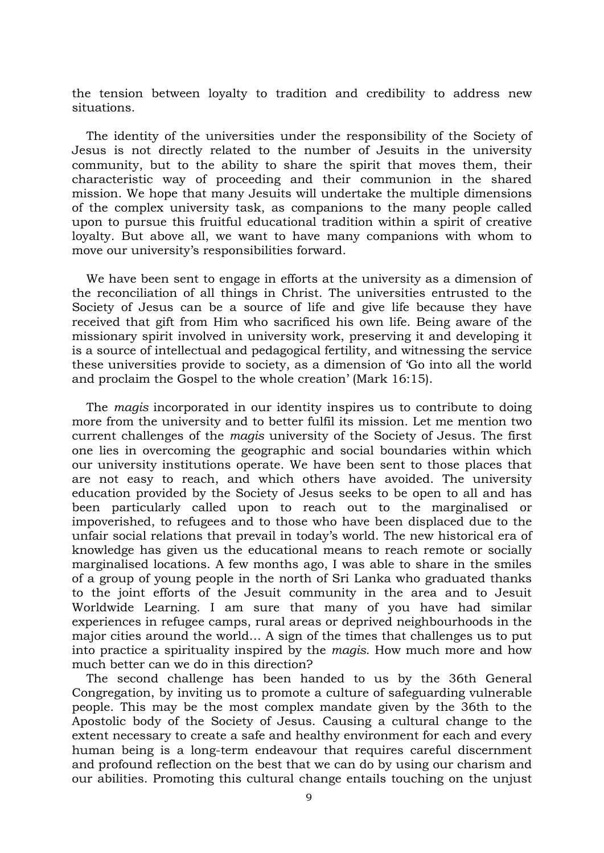the tension between loyalty to tradition and credibility to address new situations.

The identity of the universities under the responsibility of the Society of Jesus is not directly related to the number of Jesuits in the university community, but to the ability to share the spirit that moves them, their characteristic way of proceeding and their communion in the shared mission. We hope that many Jesuits will undertake the multiple dimensions of the complex university task, as companions to the many people called upon to pursue this fruitful educational tradition within a spirit of creative loyalty. But above all, we want to have many companions with whom to move our university's responsibilities forward.

We have been sent to engage in efforts at the university as a dimension of the reconciliation of all things in Christ. The universities entrusted to the Society of Jesus can be a source of life and give life because they have received that gift from Him who sacrificed his own life. Being aware of the missionary spirit involved in university work, preserving it and developing it is a source of intellectual and pedagogical fertility, and witnessing the service these universities provide to society, as a dimension of 'Go into all the world and proclaim the Gospel to the whole creation' (Mark 16:15).

The *magis* incorporated in our identity inspires us to contribute to doing more from the university and to better fulfil its mission. Let me mention two current challenges of the *magis* university of the Society of Jesus. The first one lies in overcoming the geographic and social boundaries within which our university institutions operate. We have been sent to those places that are not easy to reach, and which others have avoided. The university education provided by the Society of Jesus seeks to be open to all and has been particularly called upon to reach out to the marginalised or impoverished, to refugees and to those who have been displaced due to the unfair social relations that prevail in today's world. The new historical era of knowledge has given us the educational means to reach remote or socially marginalised locations. A few months ago, I was able to share in the smiles of a group of young people in the north of Sri Lanka who graduated thanks to the joint efforts of the Jesuit community in the area and to Jesuit Worldwide Learning. I am sure that many of you have had similar experiences in refugee camps, rural areas or deprived neighbourhoods in the major cities around the world… A sign of the times that challenges us to put into practice a spirituality inspired by the *magis.* How much more and how much better can we do in this direction?

The second challenge has been handed to us by the 36th General Congregation, by inviting us to promote a culture of safeguarding vulnerable people. This may be the most complex mandate given by the 36th to the Apostolic body of the Society of Jesus. Causing a cultural change to the extent necessary to create a safe and healthy environment for each and every human being is a long-term endeavour that requires careful discernment and profound reflection on the best that we can do by using our charism and our abilities. Promoting this cultural change entails touching on the unjust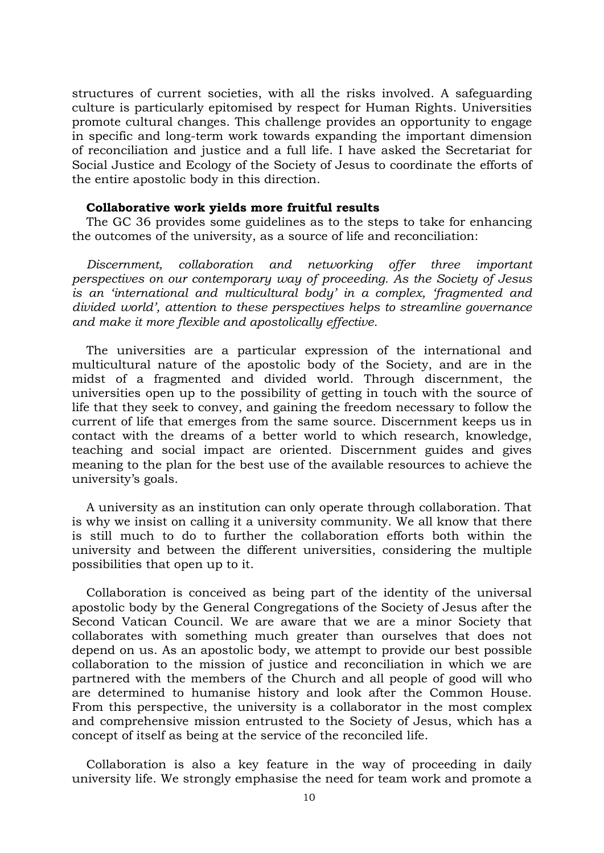structures of current societies, with all the risks involved. A safeguarding culture is particularly epitomised by respect for Human Rights. Universities promote cultural changes. This challenge provides an opportunity to engage in specific and long-term work towards expanding the important dimension of reconciliation and justice and a full life. I have asked the Secretariat for Social Justice and Ecology of the Society of Jesus to coordinate the efforts of the entire apostolic body in this direction.

#### **Collaborative work yields more fruitful results**

The GC 36 provides some guidelines as to the steps to take for enhancing the outcomes of the university, as a source of life and reconciliation:

*Discernment, collaboration and networking offer three important perspectives on our contemporary way of proceeding. As the Society of Jesus is an 'international and multicultural body' in a complex, 'fragmented and divided world', attention to these perspectives helps to streamline governance and make it more flexible and apostolically effective.* 

The universities are a particular expression of the international and multicultural nature of the apostolic body of the Society, and are in the midst of a fragmented and divided world. Through discernment, the universities open up to the possibility of getting in touch with the source of life that they seek to convey, and gaining the freedom necessary to follow the current of life that emerges from the same source. Discernment keeps us in contact with the dreams of a better world to which research, knowledge, teaching and social impact are oriented. Discernment guides and gives meaning to the plan for the best use of the available resources to achieve the university's goals.

A university as an institution can only operate through collaboration. That is why we insist on calling it a university community. We all know that there is still much to do to further the collaboration efforts both within the university and between the different universities, considering the multiple possibilities that open up to it.

Collaboration is conceived as being part of the identity of the universal apostolic body by the General Congregations of the Society of Jesus after the Second Vatican Council. We are aware that we are a minor Society that collaborates with something much greater than ourselves that does not depend on us. As an apostolic body, we attempt to provide our best possible collaboration to the mission of justice and reconciliation in which we are partnered with the members of the Church and all people of good will who are determined to humanise history and look after the Common House. From this perspective, the university is a collaborator in the most complex and comprehensive mission entrusted to the Society of Jesus, which has a concept of itself as being at the service of the reconciled life.

Collaboration is also a key feature in the way of proceeding in daily university life. We strongly emphasise the need for team work and promote a